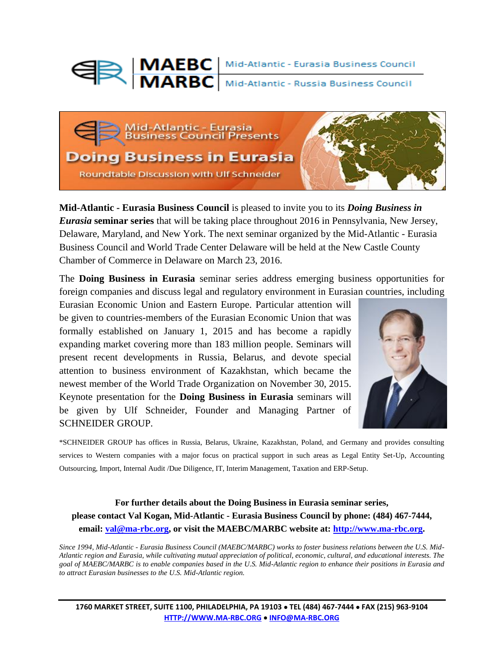



**Mid-Atlantic - Eurasia Business Council** is pleased to invite you to its *Doing Business in Eurasia* **seminar series** that will be taking place throughout 2016 in Pennsylvania, New Jersey, Delaware, Maryland, and New York. The next seminar organized by the Mid-Atlantic - Eurasia Business Council and World Trade Center Delaware will be held at the New Castle County Chamber of Commerce in Delaware on March 23, 2016.

The **Doing Business in Eurasia** seminar series address emerging business opportunities for foreign companies and discuss legal and regulatory environment in Eurasian countries, including

Eurasian Economic Union and Eastern Europe. Particular attention will be given to countries-members of the Eurasian Economic Union that was formally established on January 1, 2015 and has become a rapidly expanding market covering more than 183 million people. Seminars will present recent developments in Russia, Belarus, and devote special attention to business environment of Kazakhstan, which became the newest member of the World Trade Organization on November 30, 2015. Keynote presentation for the **Doing Business in Eurasia** seminars will be given by Ulf Schneider, Founder and Managing Partner of SCHNEIDER GROUP.



\*SCHNEIDER GROUP has offices in Russia, Belarus, Ukraine, Kazakhstan, Poland, and Germany and provides consulting services to Western companies with a major focus on practical support in such areas as Legal Entity Set-Up, Accounting Outsourcing, Import, Internal Audit /Due Diligence, IT, Interim Management, Taxation and ERP-Setup.

## **For further details about the Doing Business in Eurasia seminar series, please contact Val Kogan, Mid-Atlantic - Eurasia Business Council by phone: (484) 467-7444, email: [val@ma-rbc.org,](https://swatmail.swarthmore.edu/twig/index.php3?&twig_session=a%3A7%3A%7Bs%3A7%3A%22mailbox%22%3Bs%3A5%3A%22INBOX%22%3Bs%3A8%3A%22mailtree%22%3Bs%3A2%3A%220%7C%22%3Bs%3A9%3A%22mailGroup%22%3Bs%3A1%3A%22%2A%22%3Bs%3A6%3A%22sortby%22%3Bs%3A4%3A%252%20) or visit the MAEBC/MARBC website at: [http://www.ma-rbc.org.](http://www.ma-rbc.org/)**

*Since 1994, Mid-Atlantic - Eurasia Business Council (MAEBC/MARBC) works to foster business relations between the U.S. Mid-Atlantic region and Eurasia, while cultivating mutual appreciation of political, economic, cultural, and educational interests. The goal of MAEBC/MARBC is to enable companies based in the U.S. Mid-Atlantic region to enhance their positions in Eurasia and to attract Eurasian businesses to the U.S. Mid-Atlantic region.*